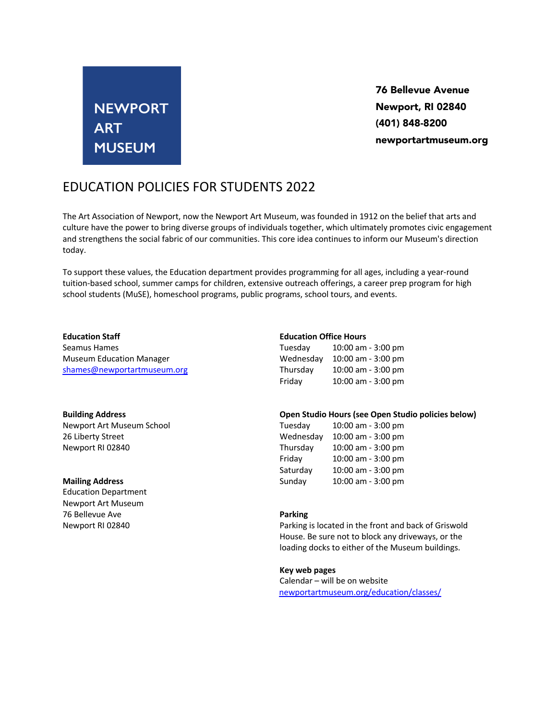# **NEWPORT ART MUSEUM**

76 Bellevue Avenue Newport, RI 02840 (401) 848-8200 newportartmuseum.org

## EDUCATION POLICIES FOR STUDENTS 2022

The Art Association of Newport, now the Newport Art Museum, was founded in 1912 on the belief that arts and culture have the power to bring diverse groups of individuals together, which ultimately promotes civic engagement and strengthens the social fabric of our communities. This core idea continues to inform our Museum's direction today.

To support these values, the Education department provides programming for all ages, including a year-round tuition-based school, summer camps for children, extensive outreach offerings, a career prep program for high school students (MuSE), homeschool programs, public programs, school tours, and events.

### **Education Staff**

Seamus Hames Museum Education Manager shames@newportartmuseum.org

#### **Building Address**

Newport Art Museum School 26 Liberty Street Newport RI 02840

### **Mailing Address**

Education Department Newport Art Museum 76 Bellevue Ave Newport RI 02840

### **Education Office Hours**

| Tuesday   | 10:00 am - 3:00 pm |
|-----------|--------------------|
| Wednesday | 10:00 am - 3:00 pm |
| Thursday  | 10:00 am - 3:00 pm |
| Friday    | 10:00 am - 3:00 pm |

### **Open Studio Hours (see Open Studio policies below)**

| Tuesday   | 10:00 am - 3:00 pm |
|-----------|--------------------|
| Wednesday | 10:00 am - 3:00 pm |
| Thursday  | 10:00 am - 3:00 pm |
| Friday    | 10:00 am - 3:00 pm |
| Saturday  | 10:00 am - 3:00 pm |
| Sunday    | 10:00 am - 3:00 pm |

### **Parking**

Parking is located in the front and back of Griswold House. Be sure not to block any driveways, or the loading docks to either of the Museum buildings.

### **Key web pages**

Calendar – will be on website newportartmuseum.org/education/classes/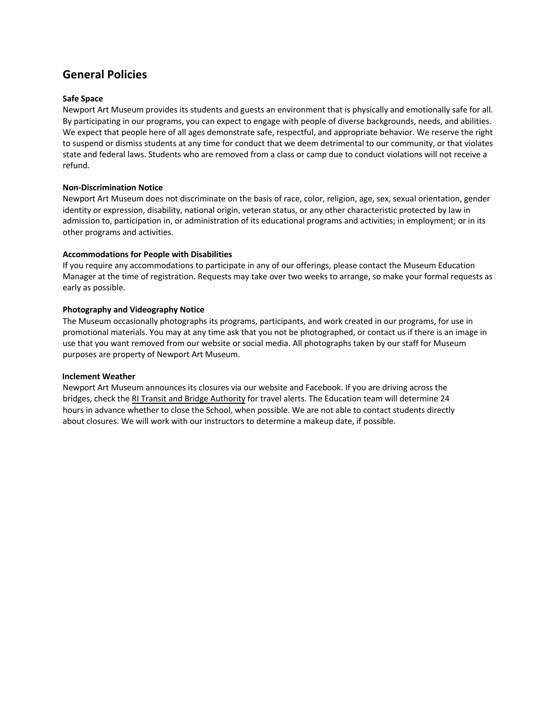### **General Policies**

### **Safe Space**

Newport Art Museum provides its students and guests an environment that is physically and emotionally safe for all. By participating in our programs, you can expect to engage with people of diverse backgrounds, needs, and abilities. We expect that people here of all ages demonstrate safe, respectful, and appropriate behavior. We reserve the right to suspend or dismiss students at any time for conduct that we deem detrimental to our community, or that violates state and federal laws. Students who are removed from a class or camp due to conduct violations will not receive a refund.

### **Non-Discrimination Notice**

Newport Art Museum does not discriminate on the basis of race, color, religion, age, sex, sexual orientation, gender identity or expression, disability, national origin, veteran status, or any other characteristic protected by law in admission to, participation in, or administration of its educational programs and activities; in employment; or in its other programs and activities.

### **Accommodations for People with Disabilities**

If you require any accommodations to participate in any of our offerings, please contact the Museum Education Manager at the time of registration. Requests may take over two weeks to arrange, so make your formal requests as early as possible.

### **Photography and Videography Notice**

The Museum occasionally photographs its programs, participants, and work created in our programs, for use in promotional materials. You may at any time ask that you not be photographed, or contact us if there is an image in use that you want removed from our website or social media. All photographs taken by our staff for Museum purposes are property of Newport Art Museum.

### **Inclement Weather**

Newport Art Museum announces its closures via our website and Facebook. If you are driving across the bridges, check the RI Transit and Bridge Authority for travel alerts. The Education team will determine 24 hours in advance whether to close the School, when possible. We are not able to contact students directly about closures. We will work with our instructors to determine a makeup date, if possible.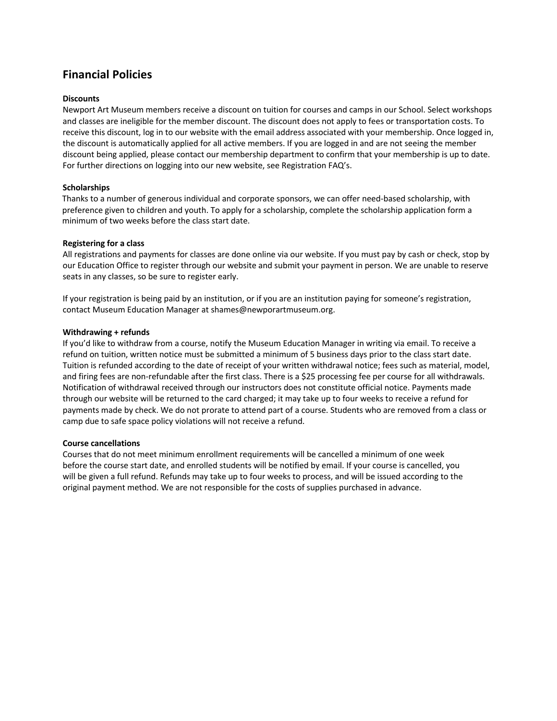### **Financial Policies**

### **Discounts**

Newport Art Museum members receive a discount on tuition for courses and camps in our School. Select workshops and classes are ineligible for the member discount. The discount does not apply to fees or transportation costs. To receive this discount, log in to our website with the email address associated with your membership. Once logged in, the discount is automatically applied for all active members. If you are logged in and are not seeing the member discount being applied, please contact our membership department to confirm that your membership is up to date. For further directions on logging into our new website, see Registration FAQ's.

### **Scholarships**

Thanks to a number of generous individual and corporate sponsors, we can offer need-based scholarship, with preference given to children and youth. To apply for a scholarship, complete the scholarship application form a minimum of two weeks before the class start date.

### **Registering for a class**

All registrations and payments for classes are done online via our website. If you must pay by cash or check, stop by our Education Office to register through our website and submit your payment in person. We are unable to reserve seats in any classes, so be sure to register early.

If your registration is being paid by an institution, or if you are an institution paying for someone's registration, contact Museum Education Manager at shames@newporartmuseum.org.

### **Withdrawing + refunds**

If you'd like to withdraw from a course, notify the Museum Education Manager in writing via email. To receive a refund on tuition, written notice must be submitted a minimum of 5 business days prior to the class start date. Tuition is refunded according to the date of receipt of your written withdrawal notice; fees such as material, model, and firing fees are non-refundable after the first class. There is a \$25 processing fee per course for all withdrawals. Notification of withdrawal received through our instructors does not constitute official notice. Payments made through our website will be returned to the card charged; it may take up to four weeks to receive a refund for payments made by check. We do not prorate to attend part of a course. Students who are removed from a class or camp due to safe space policy violations will not receive a refund.

### **Course cancellations**

Courses that do not meet minimum enrollment requirements will be cancelled a minimum of one week before the course start date, and enrolled students will be notified by email. If your course is cancelled, you will be given a full refund. Refunds may take up to four weeks to process, and will be issued according to the original payment method. We are not responsible for the costs of supplies purchased in advance.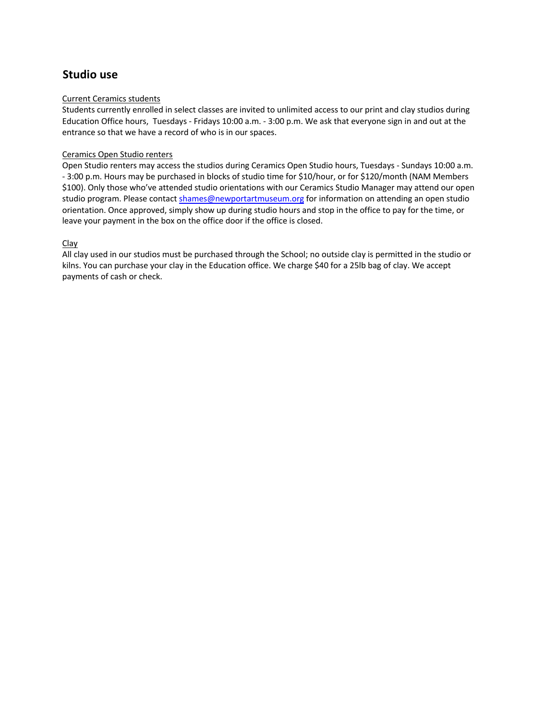### **Studio use**

### Current Ceramics students

Students currently enrolled in select classes are invited to unlimited access to our print and clay studios during Education Office hours, Tuesdays - Fridays 10:00 a.m. - 3:00 p.m. We ask that everyone sign in and out at the entrance so that we have a record of who is in our spaces.

### Ceramics Open Studio renters

Open Studio renters may access the studios during Ceramics Open Studio hours, Tuesdays - Sundays 10:00 a.m. - 3:00 p.m. Hours may be purchased in blocks of studio time for \$10/hour, or for \$120/month (NAM Members \$100). Only those who've attended studio orientations with our Ceramics Studio Manager may attend our open studio program. Please contact shames@newportartmuseum.org for information on attending an open studio orientation. Once approved, simply show up during studio hours and stop in the office to pay for the time, or leave your payment in the box on the office door if the office is closed.

### Clay

All clay used in our studios must be purchased through the School; no outside clay is permitted in the studio or kilns. You can purchase your clay in the Education office. We charge \$40 for a 25lb bag of clay. We accept payments of cash or check.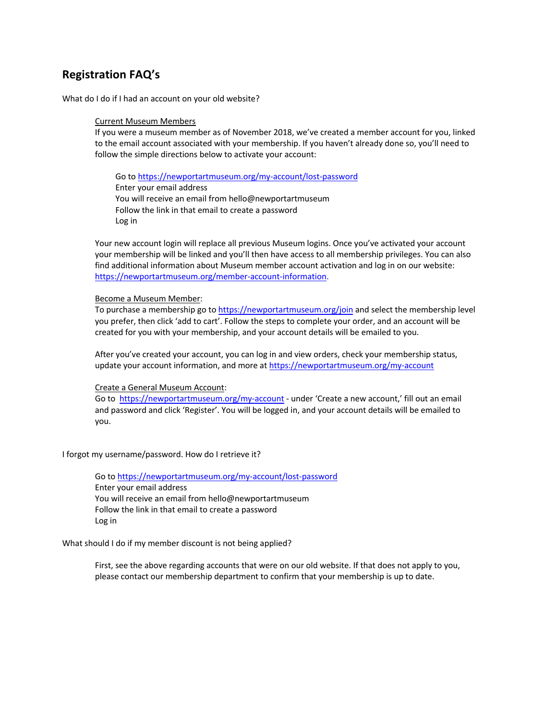### **Registration FAQ's**

What do I do if I had an account on your old website?

#### Current Museum Members

If you were a museum member as of November 2018, we've created a member account for you, linked to the email account associated with your membership. If you haven't already done so, you'll need to follow the simple directions below to activate your account:

Go to https://newportartmuseum.org/my-account/lost-password Enter your email address You will receive an email from hello@newportartmuseum Follow the link in that email to create a password Log in

Your new account login will replace all previous Museum logins. Once you've activated your account your membership will be linked and you'll then have access to all membership privileges. You can also find additional information about Museum member account activation and log in on our website: https://newportartmuseum.org/member-account-information.

#### Become a Museum Member:

To purchase a membership go to https://newportartmuseum.org/join and select the membership level you prefer, then click 'add to cart'. Follow the steps to complete your order, and an account will be created for you with your membership, and your account details will be emailed to you.

After you've created your account, you can log in and view orders, check your membership status, update your account information, and more at https://newportartmuseum.org/my-account

Create a General Museum Account:

Go to https://newportartmuseum.org/my-account - under 'Create a new account,' fill out an email and password and click 'Register'. You will be logged in, and your account details will be emailed to you.

I forgot my username/password. How do I retrieve it?

Go to https://newportartmuseum.org/my-account/lost-password Enter your email address You will receive an email from hello@newportartmuseum Follow the link in that email to create a password Log in

What should I do if my member discount is not being applied?

First, see the above regarding accounts that were on our old website. If that does not apply to you, please contact our membership department to confirm that your membership is up to date.